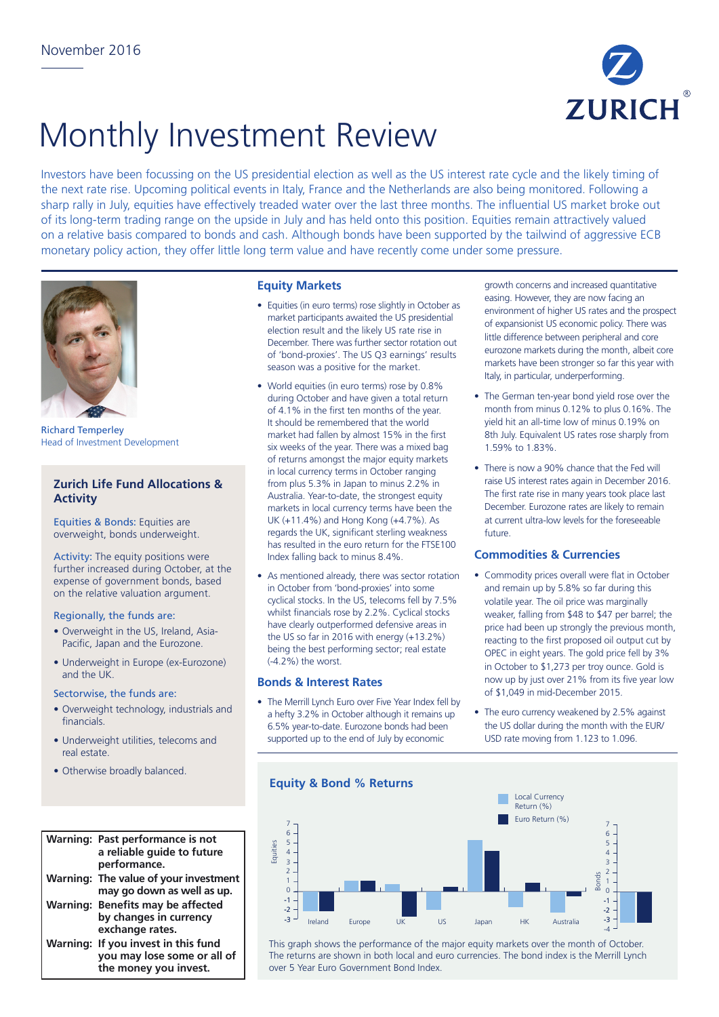

# Monthly Investment Review

Investors have been focussing on the US presidential election as well as the US interest rate cycle and the likely timing of the next rate rise. Upcoming political events in Italy, France and the Netherlands are also being monitored. Following a sharp rally in July, equities have effectively treaded water over the last three months. The influential US market broke out of its long-term trading range on the upside in July and has held onto this position. Equities remain attractively valued on a relative basis compared to bonds and cash. Although bonds have been supported by the tailwind of aggressive ECB monetary policy action, they offer little long term value and have recently come under some pressure.



Richard Temperley Head of Investment Development

## **Zurich Life Fund Allocations & Activity**

Equities & Bonds: Equities are overweight, bonds underweight.

Activity: The equity positions were further increased during October, at the expense of government bonds, based on the relative valuation argument.

#### Regionally, the funds are:

- Overweight in the US, Ireland, Asia-Pacific, Japan and the Eurozone.
- Underweight in Europe (ex-Eurozone) and the UK.

#### Sectorwise, the funds are:

- Overweight technology, industrials and financials.
- Underweight utilities, telecoms and real estate.
- Otherwise broadly balanced.

| <b>Warning: Past performance is not</b><br>a reliable guide to future<br>performance.       |
|---------------------------------------------------------------------------------------------|
| Warning: The value of your investment<br>may go down as well as up.                         |
| Warning: Benefits may be affected<br>by changes in currency<br>exchange rates.              |
| Warning: If you invest in this fund<br>you may lose some or all of<br>the money you invest. |

## **Equity Markets**

- Equities (in euro terms) rose slightly in October as market participants awaited the US presidential election result and the likely US rate rise in December. There was further sector rotation out of 'bond-proxies'. The US Q3 earnings' results season was a positive for the market.
- World equities (in euro terms) rose by 0.8% during October and have given a total return of 4.1% in the first ten months of the year. It should be remembered that the world market had fallen by almost 15% in the first six weeks of the year. There was a mixed bag of returns amongst the major equity markets in local currency terms in October ranging from plus 5.3% in Japan to minus 2.2% in Australia. Year-to-date, the strongest equity markets in local currency terms have been the UK (+11.4%) and Hong Kong (+4.7%). As regards the UK, significant sterling weakness has resulted in the euro return for the FTSE100 Index falling back to minus 8.4%.
- As mentioned already, there was sector rotation in October from 'bond-proxies' into some cyclical stocks. In the US, telecoms fell by 7.5% whilst financials rose by 2.2%. Cyclical stocks have clearly outperformed defensive areas in the US so far in 2016 with energy (+13.2%) being the best performing sector; real estate (-4.2%) the worst.

### **Bonds & Interest Rates**

• The Merrill Lynch Euro over Five Year Index fell by a hefty 3.2% in October although it remains up 6.5% year-to-date. Eurozone bonds had been supported up to the end of July by economic

growth concerns and increased quantitative easing. However, they are now facing an environment of higher US rates and the prospect of expansionist US economic policy. There was little difference between peripheral and core eurozone markets during the month, albeit core markets have been stronger so far this year with Italy, in particular, underperforming.

- The German ten-year bond yield rose over the month from minus 0.12% to plus 0.16%. The yield hit an all-time low of minus 0.19% on 8th July. Equivalent US rates rose sharply from 1.59% to 1.83%.
- There is now a 90% chance that the Fed will raise US interest rates again in December 2016. The first rate rise in many years took place last December. Eurozone rates are likely to remain at current ultra-low levels for the foreseeable future.

## **Commodities & Currencies**

- Commodity prices overall were flat in October and remain up by 5.8% so far during this volatile year. The oil price was marginally weaker, falling from \$48 to \$47 per barrel; the price had been up strongly the previous month, reacting to the first proposed oil output cut by OPEC in eight years. The gold price fell by 3% in October to \$1,273 per troy ounce. Gold is now up by just over 21% from its five year low of \$1,049 in mid-December 2015.
- The euro currency weakened by 2.5% against the US dollar during the month with the EUR/ USD rate moving from 1.123 to 1.096.





This graph shows the performance of the major equity markets over the month of October. The returns are shown in both local and euro currencies. The bond index is the Merrill Lynch over 5 Year Euro Government Bond Index.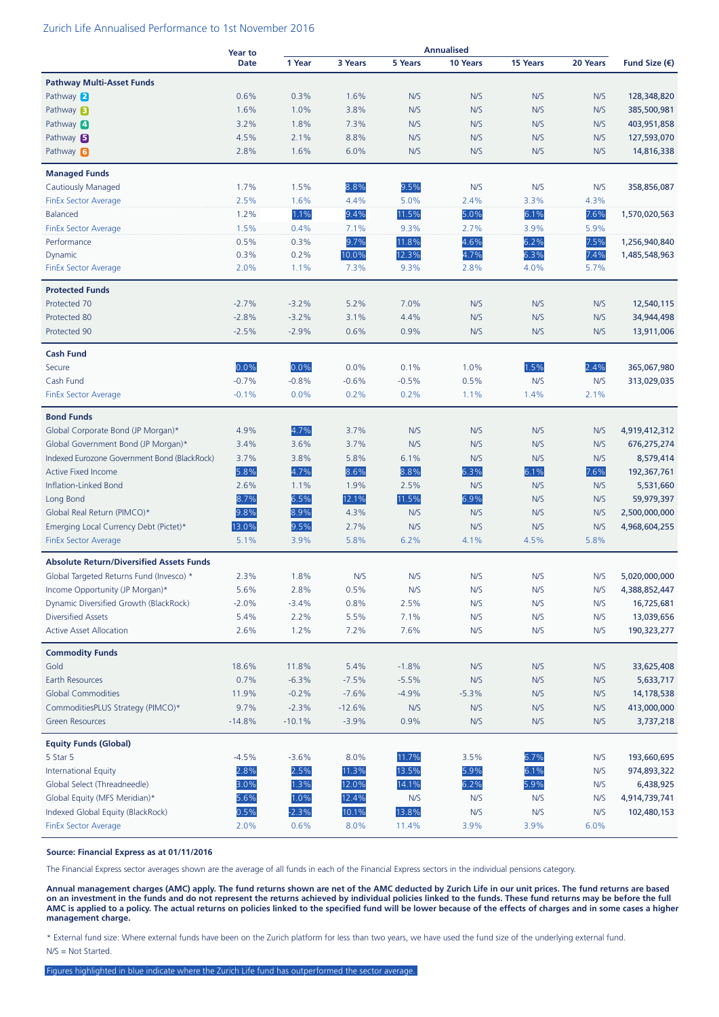#### Zurich Life Annualised Performance to 1st November 2016

|                                                 | <b>Year to</b> | <b>Annualised</b> |          |         |          |                 |          |                        |
|-------------------------------------------------|----------------|-------------------|----------|---------|----------|-----------------|----------|------------------------|
|                                                 | <b>Date</b>    | 1 Year            | 3 Years  | 5 Years | 10 Years | <b>15 Years</b> | 20 Years | Fund Size $(\epsilon)$ |
| <b>Pathway Multi-Asset Funds</b>                |                |                   |          |         |          |                 |          |                        |
| Pathway 2                                       | 0.6%           | 0.3%              | 1.6%     | N/S     | N/S      | N/S             | N/S      | 128,348,820            |
| Pathway <b>B</b>                                | 1.6%           | 1.0%              | 3.8%     | N/S     | N/S      | N/S             | N/S      | 385,500,981            |
| Pathway 4                                       | 3.2%           | 1.8%              | 7.3%     | N/S     | N/S      | N/S             | N/S      | 403,951,858            |
| Pathway $\blacksquare$                          | 4.5%           | 2.1%              | 8.8%     | N/S     | N/S      | N/S             | N/S      | 127,593,070            |
| Pathway 6                                       | 2.8%           | 1.6%              | 6.0%     | N/S     | N/S      | N/S             | N/S      | 14,816,338             |
|                                                 |                |                   |          |         |          |                 |          |                        |
| <b>Managed Funds</b>                            |                |                   |          |         |          |                 |          |                        |
| <b>Cautiously Managed</b>                       | 1.7%           | 1.5%              | 8.8%     | 9.5%    | N/S      | N/S             | N/S      | 358,856,087            |
| <b>FinEx Sector Average</b>                     | 2.5%           | 1.6%              | 4.4%     | 5.0%    | 2.4%     | 3.3%            | 4.3%     |                        |
| Balanced                                        | 1.2%           | 1.1%              | 9.4%     | 11.5%   | 5.0%     | 6.1%            | 7.6%     | 1,570,020,563          |
| <b>FinEx Sector Average</b>                     | 1.5%           | 0.4%              | 7.1%     | 9.3%    | 2.7%     | 3.9%            | 5.9%     |                        |
| Performance                                     | 0.5%           | 0.3%              | 9.7%     | 11.8%   | 4.6%     | 6.2%            | 7.5%     | 1,256,940,840          |
| Dynamic                                         | 0.3%           | 0.2%              | 10.0%    | 12.3%   | 4.7%     | 6.3%            | 7.4%     | 1,485,548,963          |
| <b>FinEx Sector Average</b>                     | 2.0%           | 1.1%              | 7.3%     | 9.3%    | 2.8%     | 4.0%            | 5.7%     |                        |
| <b>Protected Funds</b>                          |                |                   |          |         |          |                 |          |                        |
| Protected 70                                    | $-2.7%$        | $-3.2%$           | 5.2%     | 7.0%    | N/S      | N/S             | N/S      | 12,540,115             |
| Protected 80                                    | $-2.8%$        | $-3.2%$           | 3.1%     | 4.4%    | N/S      | N/S             | N/S      | 34,944,498             |
| Protected 90                                    | $-2.5%$        | $-2.9%$           | 0.6%     | 0.9%    | N/S      | N/S             | N/S      | 13,911,006             |
| <b>Cash Fund</b>                                |                |                   |          |         |          |                 |          |                        |
| Secure                                          | 0.0%           | 0.0%              | 0.0%     | 0.1%    | 1.0%     | 1.5%            | 2.4%     | 365,067,980            |
| Cash Fund                                       | $-0.7%$        | $-0.8%$           | $-0.6%$  | $-0.5%$ | 0.5%     | N/S             | N/S      | 313,029,035            |
| <b>FinEx Sector Average</b>                     | $-0.1%$        | 0.0%              | 0.2%     | 0.2%    | 1.1%     | 1.4%            | 2.1%     |                        |
|                                                 |                |                   |          |         |          |                 |          |                        |
| <b>Bond Funds</b>                               |                |                   |          |         |          |                 |          |                        |
| Global Corporate Bond (JP Morgan)*              | 4.9%           | 4.7%              | 3.7%     | N/S     | N/S      | N/S             | N/S      | 4,919,412,312          |
| Global Government Bond (JP Morgan)*             | 3.4%           | 3.6%              | 3.7%     | N/S     | N/S      | N/S             | N/S      | 676,275,274            |
| Indexed Eurozone Government Bond (BlackRock)    | 3.7%           | 3.8%              | 5.8%     | 6.1%    | N/S      | N/S             | N/S      | 8,579,414              |
| <b>Active Fixed Income</b>                      | 5.8%           | 4.7%              | 8.6%     | 8.8%    | 6.3%     | 6.1%            | 7.6%     | 192,367,761            |
| Inflation-Linked Bond                           | 2.6%           | 1.1%              | 1.9%     | 2.5%    | N/S      | N/S             | N/S      | 5,531,660              |
| Long Bond                                       | 8.7%           | 6.5%              | 12.1%    | 11.5%   | 6.9%     | N/S             | N/S      | 59,979,397             |
| Global Real Return (PIMCO)*                     | 9.8%           | 8.9%              | 4.3%     | N/S     | N/S      | N/S             | N/S      | 2,500,000,000          |
| Emerging Local Currency Debt (Pictet)*          | 13.0%          | 9.5%              | 2.7%     | N/S     | N/S      | N/S             | N/S      | 4,968,604,255          |
| <b>FinEx Sector Average</b>                     | 5.1%           | 3.9%              | 5.8%     | 6.2%    | 4.1%     | 4.5%            | 5.8%     |                        |
| <b>Absolute Return/Diversified Assets Funds</b> |                |                   |          |         |          |                 |          |                        |
| Global Targeted Returns Fund (Invesco) *        | 2.3%           | 1.8%              | N/S      | N/S     | N/S      | N/S             | N/S      | 5,020,000,000          |
| Income Opportunity (JP Morgan)*                 | 5.6%           | 2.8%              | 0.5%     | N/S     | N/S      | N/S             | N/S      | 4,388,852,447          |
| Dynamic Diversified Growth (BlackRock)          | $-2.0%$        | $-3.4%$           | 0.8%     | 2.5%    | N/S      | N/S             | N/S      | 16,725,681             |
| <b>Diversified Assets</b>                       | 5.4%           | 2.2%              | 5.5%     | 7.1%    | N/S      | N/S             | N/S      | 13,039,656             |
| <b>Active Asset Allocation</b>                  | 2.6%           | 1.2%              | 7.2%     | 7.6%    | N/S      | N/S             | N/S      | 190,323,277            |
| <b>Commodity Funds</b>                          |                |                   |          |         |          |                 |          |                        |
| Gold                                            | 18.6%          | 11.8%             | 5.4%     | $-1.8%$ | N/S      | N/S             | N/S      | 33,625,408             |
| Earth Resources                                 | 0.7%           | $-6.3%$           | $-7.5%$  | $-5.5%$ | N/S      | N/S             | N/S      | 5,633,717              |
| <b>Global Commodities</b>                       | 11.9%          | $-0.2%$           | $-7.6%$  | $-4.9%$ | $-5.3%$  | N/S             | N/S      | 14,178,538             |
| CommoditiesPLUS Strategy (PIMCO)*               | 9.7%           | $-2.3%$           | $-12.6%$ | N/S     | N/S      | N/S             | N/S      | 413,000,000            |
| <b>Green Resources</b>                          | $-14.8%$       | $-10.1%$          | $-3.9%$  | 0.9%    | N/S      | N/S             | N/S      | 3,737,218              |
|                                                 |                |                   |          |         |          |                 |          |                        |
| <b>Equity Funds (Global)</b>                    |                |                   |          |         |          |                 |          |                        |
| 5 Star 5                                        | $-4.5%$        | $-3.6%$           | 8.0%     | 11.7%   | 3.5%     | 6.7%            | N/S      | 193,660,695            |
| <b>International Equity</b>                     | 2.8%           | 2.5%              | 11.3%    | 13.5%   | 5.9%     | 6.1%            | N/S      | 974,893,322            |
| Global Select (Threadneedle)                    | 3.0%           | 1.3%              | 12.0%    | 14.1%   | 6.2%     | 5.9%            | N/S      | 6,438,925              |
| Global Equity (MFS Meridian)*                   | 5.6%           | 1.0%              | 12.4%    | N/S     | N/S      | N/S             | N/S      | 4,914,739,741          |
| Indexed Global Equity (BlackRock)               | 0.5%           | $-2.3%$           | 10.1%    | 13.8%   | N/S      | N/S             | N/S      | 102,480,153            |
| <b>FinEx Sector Average</b>                     | 2.0%           | 0.6%              | 8.0%     | 11.4%   | 3.9%     | 3.9%            | 6.0%     |                        |

#### **Source: Financial Express as at 01/11/2016**

The Financial Express sector averages shown are the average of all funds in each of the Financial Express sectors in the individual pensions category.

**Annual management charges (AMC) apply. The fund returns shown are net of the AMC deducted by Zurich Life in our unit prices. The fund returns are based on an investment in the funds and do not represent the returns achieved by individual policies linked to the funds. These fund returns may be before the full AMC is applied to a policy. The actual returns on policies linked to the specified fund will be lower because of the effects of charges and in some cases a higher management charge.**

\* External fund size: Where external funds have been on the Zurich platform for less than two years, we have used the fund size of the underlying external fund. N/S = Not Started.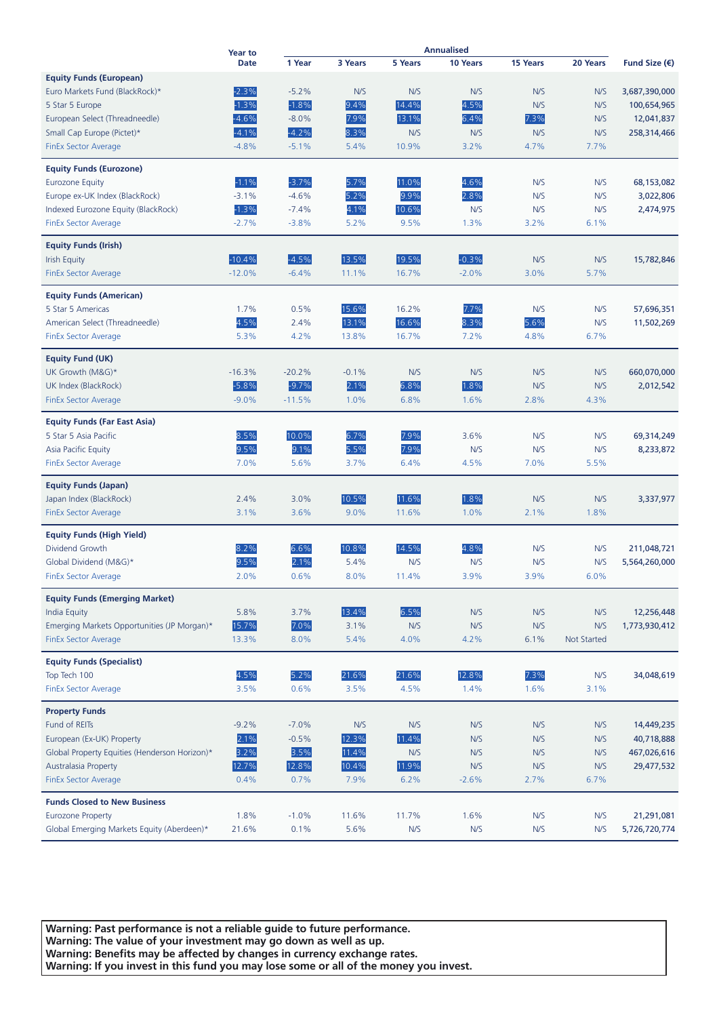|                                                  | <b>Year to</b> | <b>Annualised</b> |         |         |          |          |             |                        |
|--------------------------------------------------|----------------|-------------------|---------|---------|----------|----------|-------------|------------------------|
|                                                  | <b>Date</b>    | 1 Year            | 3 Years | 5 Years | 10 Years | 15 Years | 20 Years    | Fund Size $(\epsilon)$ |
| <b>Equity Funds (European)</b>                   |                |                   |         |         |          |          |             |                        |
| Euro Markets Fund (BlackRock)*                   | $-2.3%$        | $-5.2%$           | N/S     | N/S     | N/S      | N/S      | N/S         | 3,687,390,000          |
| 5 Star 5 Europe                                  | $-1.3%$        | $-1.8%$           | 9.4%    | 14.4%   | 4.5%     | N/S      | N/S         | 100,654,965            |
| European Select (Threadneedle)                   | $-4.6%$        | $-8.0%$           | 7.9%    | 13.1%   | 6.4%     | 7.3%     | N/S         | 12,041,837             |
| Small Cap Europe (Pictet)*                       | $-4.1%$        | $-4.2%$           | 8.3%    | N/S     | N/S      | N/S      | N/S         | 258,314,466            |
| <b>FinEx Sector Average</b>                      | $-4.8%$        | $-5.1%$           | 5.4%    | 10.9%   | 3.2%     | 4.7%     | 7.7%        |                        |
| <b>Equity Funds (Eurozone)</b>                   |                |                   |         |         |          |          |             |                        |
| <b>Eurozone Equity</b>                           | $-1.1%$        | $-3.7%$           | 5.7%    | 11.0%   | 4.6%     | N/S      | N/S         | 68,153,082             |
| Europe ex-UK Index (BlackRock)                   | $-3.1%$        | $-4.6%$           | 5.2%    | 9.9%    | 2.8%     | N/S      | N/S         | 3,022,806              |
| Indexed Eurozone Equity (BlackRock)              | $-1.3%$        | $-7.4%$           | 4.1%    | 10.6%   | N/S      | N/S      | N/S         | 2,474,975              |
| <b>FinEx Sector Average</b>                      | $-2.7%$        | $-3.8%$           | 5.2%    | 9.5%    | 1.3%     | 3.2%     | 6.1%        |                        |
| <b>Equity Funds (Irish)</b>                      |                |                   |         |         |          |          |             |                        |
| <b>Irish Equity</b>                              | $-10.4%$       | $-4.5%$           | 13.5%   | 19.5%   | $-0.3%$  | N/S      | N/S         | 15,782,846             |
| FinEx Sector Average                             | $-12.0%$       | $-6.4%$           | 11.1%   | 16.7%   | $-2.0%$  | 3.0%     | 5.7%        |                        |
|                                                  |                |                   |         |         |          |          |             |                        |
| <b>Equity Funds (American)</b>                   |                |                   |         |         |          |          |             |                        |
| 5 Star 5 Americas                                | 1.7%           | 0.5%              | 15.6%   | 16.2%   | 7.7%     | N/S      | N/S         | 57,696,351             |
| American Select (Threadneedle)                   | 4.5%           | 2.4%              | 13.1%   | 16.6%   | 8.3%     | 5.6%     | N/S         | 11,502,269             |
| <b>FinEx Sector Average</b>                      | 5.3%           | 4.2%              | 13.8%   | 16.7%   | 7.2%     | 4.8%     | 6.7%        |                        |
| <b>Equity Fund (UK)</b>                          |                |                   |         |         |          |          |             |                        |
| UK Growth (M&G)*                                 | $-16.3%$       | $-20.2%$          | $-0.1%$ | N/S     | N/S      | N/S      | N/S         | 660,070,000            |
| UK Index (BlackRock)                             | $-5.8%$        | $-9.7%$           | 2.1%    | 6.8%    | 1.8%     | N/S      | N/S         | 2,012,542              |
| <b>FinEx Sector Average</b>                      | $-9.0%$        | $-11.5%$          | 1.0%    | 6.8%    | 1.6%     | 2.8%     | 4.3%        |                        |
| <b>Equity Funds (Far East Asia)</b>              |                |                   |         |         |          |          |             |                        |
| 5 Star 5 Asia Pacific                            | 8.5%           | 10.0%             | 6.7%    | 7.9%    | 3.6%     | N/S      | N/S         | 69,314,249             |
| Asia Pacific Equity                              | 9.5%           | 9.1%              | 5.5%    | 7.9%    | N/S      | N/S      | N/S         | 8,233,872              |
| <b>FinEx Sector Average</b>                      | 7.0%           | 5.6%              | 3.7%    | 6.4%    | 4.5%     | 7.0%     | 5.5%        |                        |
|                                                  |                |                   |         |         |          |          |             |                        |
| <b>Equity Funds (Japan)</b>                      |                |                   |         |         |          |          |             |                        |
| Japan Index (BlackRock)                          | 2.4%           | 3.0%              | 10.5%   | 11.6%   | 1.8%     | N/S      | N/S         | 3,337,977              |
| FinEx Sector Average                             | 3.1%           | 3.6%              | 9.0%    | 11.6%   | 1.0%     | 2.1%     | 1.8%        |                        |
| <b>Equity Funds (High Yield)</b>                 |                |                   |         |         |          |          |             |                        |
| Dividend Growth                                  | 8.2%           | 6.6%              | 10.8%   | 14.5%   | 4.8%     | N/S      | N/S         | 211,048,721            |
| Global Dividend (M&G)*                           | 9.5%           | 2.1%              | 5.4%    | N/S     | N/S      | N/S      | N/S         | 5,564,260,000          |
| FinEx Sector Average                             | 2.0%           | 0.6%              | 8.0%    | 11.4%   | 3.9%     | 3.9%     | 6.0%        |                        |
| <b>Equity Funds (Emerging Market)</b>            |                |                   |         |         |          |          |             |                        |
| <b>India Equity</b>                              | 5.8%           | 3.7%              | 13.4%   | 6.5%    | N/S      | N/S      | N/S         | 12,256,448             |
| Emerging Markets Opportunities (JP Morgan)*      | 15.7%          | 7.0%              | 3.1%    | N/S     | N/S      | N/S      | N/S         | 1,773,930,412          |
| <b>FinEx Sector Average</b>                      | 13.3%          | 8.0%              | 5.4%    | 4.0%    | 4.2%     | 6.1%     | Not Started |                        |
|                                                  |                |                   |         |         |          |          |             |                        |
| <b>Equity Funds (Specialist)</b><br>Top Tech 100 | 4.5%           | 5.2%              | 21.6%   | 21.6%   | 12.8%    | 7.3%     | N/S         | 34,048,619             |
| <b>FinEx Sector Average</b>                      | 3.5%           | 0.6%              | 3.5%    | 4.5%    | 1.4%     | 1.6%     | 3.1%        |                        |
|                                                  |                |                   |         |         |          |          |             |                        |
| <b>Property Funds</b>                            |                |                   |         |         |          |          |             |                        |
| Fund of REITs                                    | $-9.2%$        | $-7.0%$           | N/S     | N/S     | N/S      | N/S      | N/S         | 14,449,235             |
| European (Ex-UK) Property                        | 2.1%           | $-0.5%$           | 12.3%   | 11.4%   | N/S      | N/S      | N/S         | 40,718,888             |
| Global Property Equities (Henderson Horizon)*    | 3.2%           | 3.5%              | 11.4%   | N/S     | N/S      | N/S      | N/S         | 467,026,616            |
| <b>Australasia Property</b>                      | 12.7%          | 12.8%             | 10.4%   | 11.9%   | N/S      | N/S      | N/S         | 29,477,532             |
| <b>FinEx Sector Average</b>                      | 0.4%           | 0.7%              | 7.9%    | 6.2%    | $-2.6%$  | 2.7%     | 6.7%        |                        |
| <b>Funds Closed to New Business</b>              |                |                   |         |         |          |          |             |                        |
| <b>Eurozone Property</b>                         | 1.8%           | $-1.0%$           | 11.6%   | 11.7%   | 1.6%     | N/S      | N/S         | 21,291,081             |
| Global Emerging Markets Equity (Aberdeen)*       | 21.6%          | 0.1%              | 5.6%    | N/S     | N/S      | N/S      | N/S         | 5,726,720,774          |

**Warning: Past performance is not a reliable guide to future performance. Warning: The value of your investment may go down as well as up. Warning: Benefits may be affected by changes in currency exchange rates. Warning: If you invest in this fund you may lose some or all of the money you invest.**